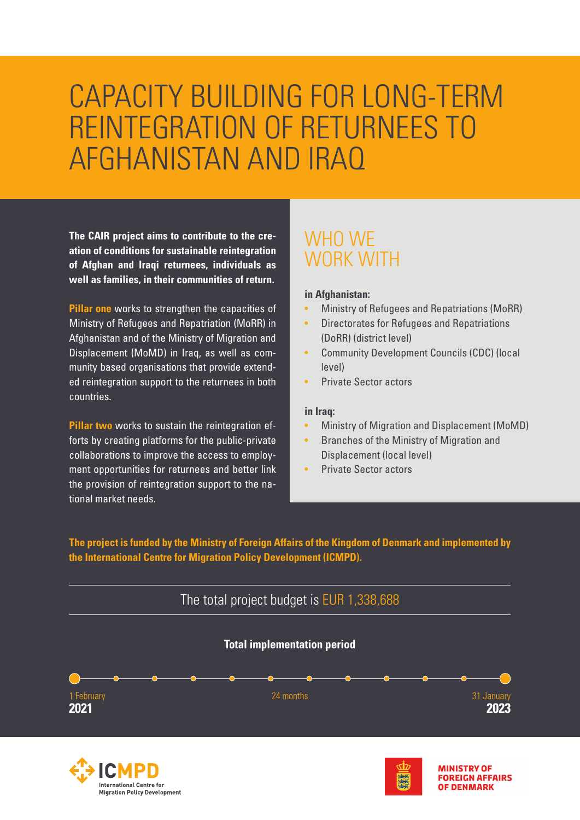# CAPACITY BUILDING FOR LONG-TERM REINTEGRATION OF RETURNEES TO AFGHANISTAN AND IRAQ

**The CAIR project aims to contribute to the creation of conditions for sustainable reintegration of Afghan and Iraqi returnees, individuals as well as families, in their communities of return.** 

**Pillar one** works to strengthen the capacities of Ministry of Refugees and Repatriation (MoRR) in Afghanistan and of the Ministry of Migration and Displacement (MoMD) in Iraq, as well as community based organisations that provide extended reintegration support to the returnees in both countries.

**Pillar two** works to sustain the reintegration efforts by creating platforms for the public-private collaborations to improve the access to employment opportunities for returnees and better link the provision of reintegration support to the national market needs.

**International Centre for** 

**Migration Policy Development** 

### WHO WE WORK WITH

#### **in Afghanistan:**

- Ministry of Refugees and Repatriations (MoRR)
- Directorates for Refugees and Repatriations (DoRR) (district level)
- Community Development Councils (CDC) (local level)
- Private Sector actors

#### **in Iraq:**

• Ministry of Migration and Displacement (MoMD)

**OF DENMARK** 

- Branches of the Ministry of Migration and Displacement (local level)
- Private Sector actors

**The project is funded by the Ministry of Foreign Affairs of the Kingdom of Denmark and implemented by the International Centre for Migration Policy Development (ICMPD).**